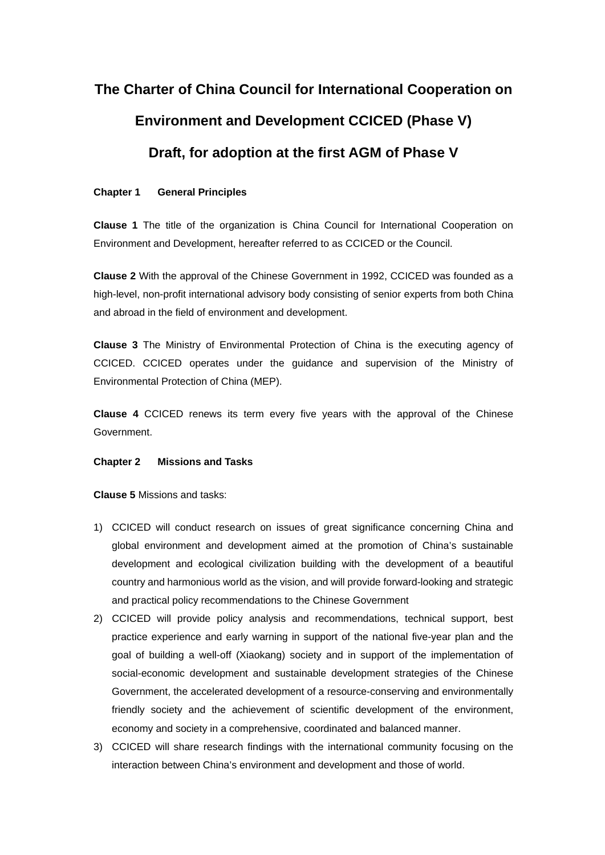# **The Charter of China Council for International Cooperation on Environment and Development CCICED (Phase V) Draft, for adoption at the first AGM of Phase V**

#### **Chapter 1 General Principles**

**Clause 1** The title of the organization is China Council for International Cooperation on Environment and Development, hereafter referred to as CCICED or the Council.

**Clause 2** With the approval of the Chinese Government in 1992, CCICED was founded as a high-level, non-profit international advisory body consisting of senior experts from both China and abroad in the field of environment and development.

**Clause 3** The Ministry of Environmental Protection of China is the executing agency of CCICED. CCICED operates under the guidance and supervision of the Ministry of Environmental Protection of China (MEP).

**Clause 4** CCICED renews its term every five years with the approval of the Chinese Government.

#### **Chapter 2 Missions and Tasks**

**Clause 5** Missions and tasks:

- 1) CCICED will conduct research on issues of great significance concerning China and global environment and development aimed at the promotion of China's sustainable development and ecological civilization building with the development of a beautiful country and harmonious world as the vision, and will provide forward-looking and strategic and practical policy recommendations to the Chinese Government
- 2) CCICED will provide policy analysis and recommendations, technical support, best practice experience and early warning in support of the national five-year plan and the goal of building a well-off (Xiaokang) society and in support of the implementation of social-economic development and sustainable development strategies of the Chinese Government, the accelerated development of a resource-conserving and environmentally friendly society and the achievement of scientific development of the environment, economy and society in a comprehensive, coordinated and balanced manner.
- 3) CCICED will share research findings with the international community focusing on the interaction between China's environment and development and those of world.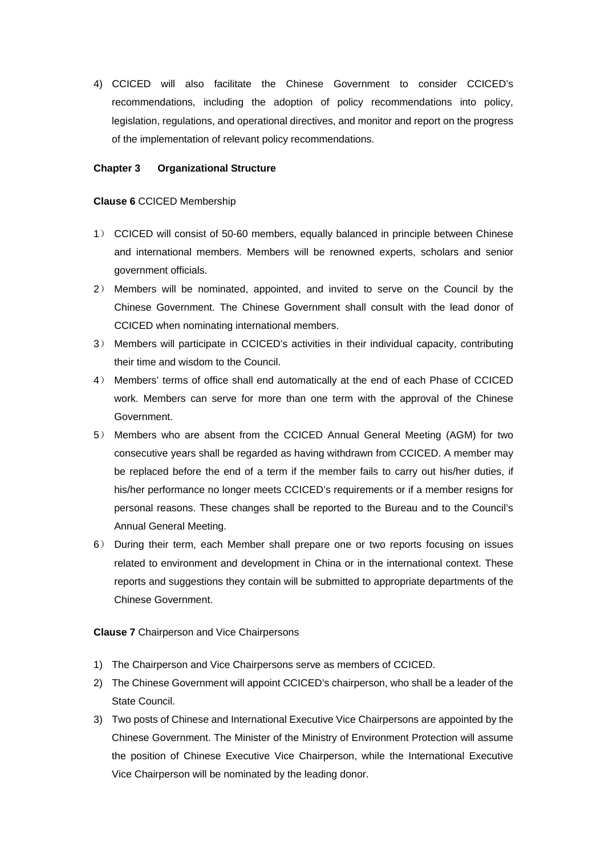4) CCICED will also facilitate the Chinese Government to consider CCICED's recommendations, including the adoption of policy recommendations into policy, legislation, regulations, and operational directives, and monitor and report on the progress of the implementation of relevant policy recommendations.

#### **Chapter 3 Organizational Structure**

#### **Clause 6** CCICED Membership

- 1) CCICED will consist of 50-60 members, equally balanced in principle between Chinese and international members. Members will be renowned experts, scholars and senior government officials.
- 2) Members will be nominated, appointed, and invited to serve on the Council by the Chinese Government. The Chinese Government shall consult with the lead donor of CCICED when nominating international members.
- 3) Members will participate in CCICED's activities in their individual capacity, contributing their time and wisdom to the Council.
- 4) Members' terms of office shall end automatically at the end of each Phase of CCICED work. Members can serve for more than one term with the approval of the Chinese Government.
- 5) Members who are absent from the CCICED Annual General Meeting (AGM) for two consecutive years shall be regarded as having withdrawn from CCICED. A member may be replaced before the end of a term if the member fails to carry out his/her duties, if his/her performance no longer meets CCICED's requirements or if a member resigns for personal reasons. These changes shall be reported to the Bureau and to the Council's Annual General Meeting.
- 6) During their term, each Member shall prepare one or two reports focusing on issues related to environment and development in China or in the international context. These reports and suggestions they contain will be submitted to appropriate departments of the Chinese Government.

#### **Clause 7** Chairperson and Vice Chairpersons

- 1) The Chairperson and Vice Chairpersons serve as members of CCICED.
- 2) The Chinese Government will appoint CCICED's chairperson, who shall be a leader of the State Council.
- 3) Two posts of Chinese and International Executive Vice Chairpersons are appointed by the Chinese Government. The Minister of the Ministry of Environment Protection will assume the position of Chinese Executive Vice Chairperson, while the International Executive Vice Chairperson will be nominated by the leading donor.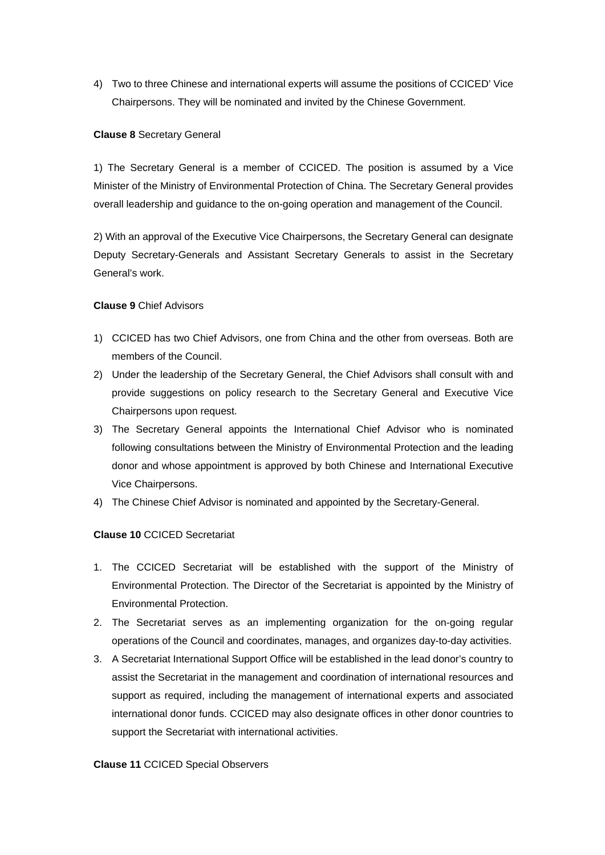4) Two to three Chinese and international experts will assume the positions of CCICED' Vice Chairpersons. They will be nominated and invited by the Chinese Government.

#### **Clause 8** Secretary General

1) The Secretary General is a member of CCICED. The position is assumed by a Vice Minister of the Ministry of Environmental Protection of China. The Secretary General provides overall leadership and guidance to the on-going operation and management of the Council.

2) With an approval of the Executive Vice Chairpersons, the Secretary General can designate Deputy Secretary-Generals and Assistant Secretary Generals to assist in the Secretary General's work.

#### **Clause 9** Chief Advisors

- 1) CCICED has two Chief Advisors, one from China and the other from overseas. Both are members of the Council.
- 2) Under the leadership of the Secretary General, the Chief Advisors shall consult with and provide suggestions on policy research to the Secretary General and Executive Vice Chairpersons upon request.
- 3) The Secretary General appoints the International Chief Advisor who is nominated following consultations between the Ministry of Environmental Protection and the leading donor and whose appointment is approved by both Chinese and International Executive Vice Chairpersons.
- 4) The Chinese Chief Advisor is nominated and appointed by the Secretary-General.

#### **Clause 10** CCICED Secretariat

- 1. The CCICED Secretariat will be established with the support of the Ministry of Environmental Protection. The Director of the Secretariat is appointed by the Ministry of Environmental Protection.
- 2. The Secretariat serves as an implementing organization for the on-going regular operations of the Council and coordinates, manages, and organizes day-to-day activities.
- 3. A Secretariat International Support Office will be established in the lead donor's country to assist the Secretariat in the management and coordination of international resources and support as required, including the management of international experts and associated international donor funds. CCICED may also designate offices in other donor countries to support the Secretariat with international activities.

#### **Clause 11** CCICED Special Observers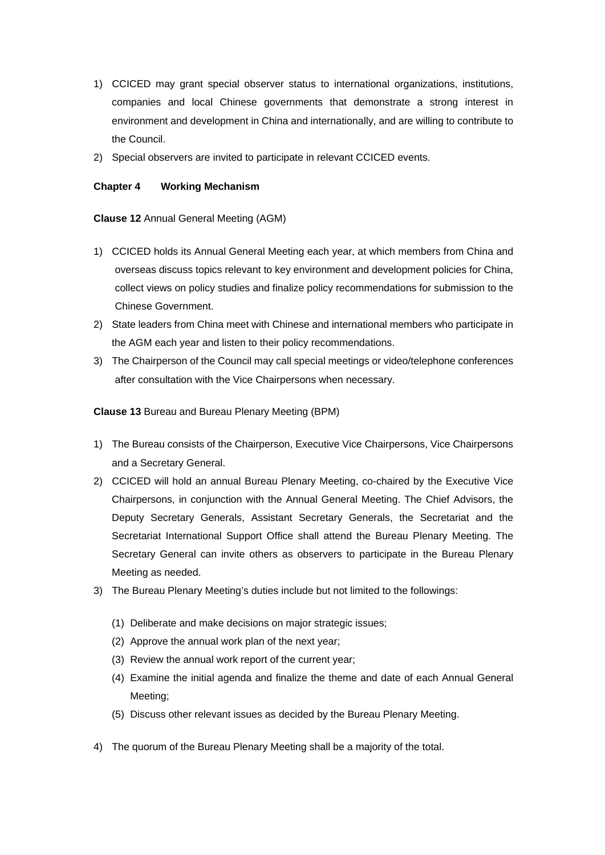- 1) CCICED may grant special observer status to international organizations, institutions, companies and local Chinese governments that demonstrate a strong interest in environment and development in China and internationally, and are willing to contribute to the Council.
- 2) Special observers are invited to participate in relevant CCICED events.

#### **Chapter 4 Working Mechanism**

#### **Clause 12** Annual General Meeting (AGM)

- 1) CCICED holds its Annual General Meeting each year, at which members from China and overseas discuss topics relevant to key environment and development policies for China, collect views on policy studies and finalize policy recommendations for submission to the Chinese Government.
- 2) State leaders from China meet with Chinese and international members who participate in the AGM each year and listen to their policy recommendations.
- 3) The Chairperson of the Council may call special meetings or video/telephone conferences after consultation with the Vice Chairpersons when necessary.

**Clause 13** Bureau and Bureau Plenary Meeting (BPM)

- 1) The Bureau consists of the Chairperson, Executive Vice Chairpersons, Vice Chairpersons and a Secretary General.
- 2) CCICED will hold an annual Bureau Plenary Meeting, co-chaired by the Executive Vice Chairpersons, in conjunction with the Annual General Meeting. The Chief Advisors, the Deputy Secretary Generals, Assistant Secretary Generals, the Secretariat and the Secretariat International Support Office shall attend the Bureau Plenary Meeting. The Secretary General can invite others as observers to participate in the Bureau Plenary Meeting as needed.
- 3) The Bureau Plenary Meeting's duties include but not limited to the followings:
	- (1) Deliberate and make decisions on major strategic issues;
	- (2) Approve the annual work plan of the next year;
	- (3) Review the annual work report of the current year;
	- (4) Examine the initial agenda and finalize the theme and date of each Annual General Meeting;
	- (5) Discuss other relevant issues as decided by the Bureau Plenary Meeting.
- 4) The quorum of the Bureau Plenary Meeting shall be a majority of the total.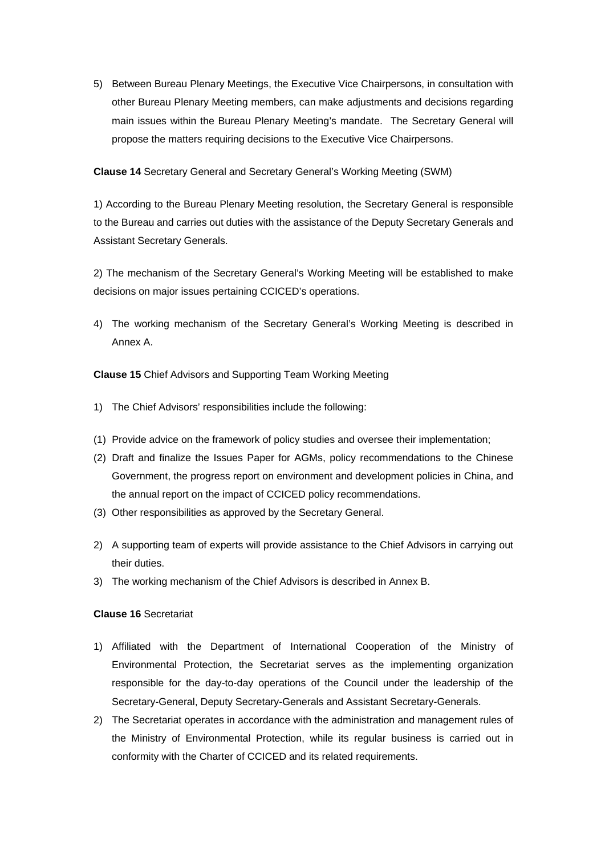5) Between Bureau Plenary Meetings, the Executive Vice Chairpersons, in consultation with other Bureau Plenary Meeting members, can make adjustments and decisions regarding main issues within the Bureau Plenary Meeting's mandate. The Secretary General will propose the matters requiring decisions to the Executive Vice Chairpersons.

**Clause 14** Secretary General and Secretary General's Working Meeting (SWM)

1) According to the Bureau Plenary Meeting resolution, the Secretary General is responsible to the Bureau and carries out duties with the assistance of the Deputy Secretary Generals and Assistant Secretary Generals.

2) The mechanism of the Secretary General's Working Meeting will be established to make decisions on major issues pertaining CCICED's operations.

4) The working mechanism of the Secretary General's Working Meeting is described in Annex A.

**Clause 15** Chief Advisors and Supporting Team Working Meeting

- 1) The Chief Advisors' responsibilities include the following:
- (1) Provide advice on the framework of policy studies and oversee their implementation;
- (2) Draft and finalize the Issues Paper for AGMs, policy recommendations to the Chinese Government, the progress report on environment and development policies in China, and the annual report on the impact of CCICED policy recommendations.
- (3) Other responsibilities as approved by the Secretary General.
- 2) A supporting team of experts will provide assistance to the Chief Advisors in carrying out their duties.
- 3) The working mechanism of the Chief Advisors is described in Annex B.

#### **Clause 16** Secretariat

- 1) Affiliated with the Department of International Cooperation of the Ministry of Environmental Protection, the Secretariat serves as the implementing organization responsible for the day-to-day operations of the Council under the leadership of the Secretary-General, Deputy Secretary-Generals and Assistant Secretary-Generals.
- 2) The Secretariat operates in accordance with the administration and management rules of the Ministry of Environmental Protection, while its regular business is carried out in conformity with the Charter of CCICED and its related requirements.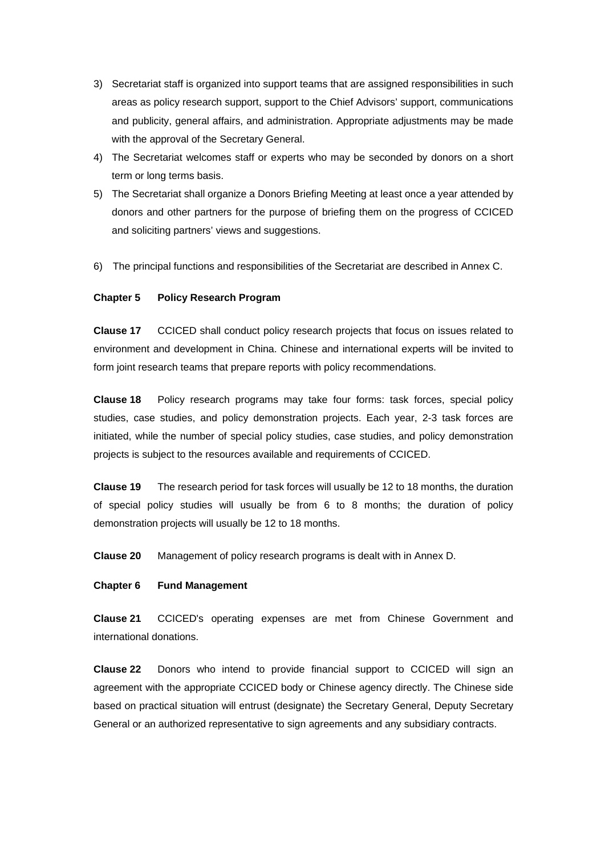- 3) Secretariat staff is organized into support teams that are assigned responsibilities in such areas as policy research support, support to the Chief Advisors' support, communications and publicity, general affairs, and administration. Appropriate adjustments may be made with the approval of the Secretary General.
- 4) The Secretariat welcomes staff or experts who may be seconded by donors on a short term or long terms basis.
- 5) The Secretariat shall organize a Donors Briefing Meeting at least once a year attended by donors and other partners for the purpose of briefing them on the progress of CCICED and soliciting partners' views and suggestions.
- 6) The principal functions and responsibilities of the Secretariat are described in Annex C.

#### **Chapter 5 Policy Research Program**

**Clause 17** CCICED shall conduct policy research projects that focus on issues related to environment and development in China. Chinese and international experts will be invited to form joint research teams that prepare reports with policy recommendations.

**Clause 18** Policy research programs may take four forms: task forces, special policy studies, case studies, and policy demonstration projects. Each year, 2-3 task forces are initiated, while the number of special policy studies, case studies, and policy demonstration projects is subject to the resources available and requirements of CCICED.

**Clause 19** The research period for task forces will usually be 12 to 18 months, the duration of special policy studies will usually be from 6 to 8 months; the duration of policy demonstration projects will usually be 12 to 18 months.

**Clause 20** Management of policy research programs is dealt with in Annex D.

#### **Chapter 6 Fund Management**

**Clause 21** CCICED's operating expenses are met from Chinese Government and international donations.

**Clause 22** Donors who intend to provide financial support to CCICED will sign an agreement with the appropriate CCICED body or Chinese agency directly. The Chinese side based on practical situation will entrust (designate) the Secretary General, Deputy Secretary General or an authorized representative to sign agreements and any subsidiary contracts.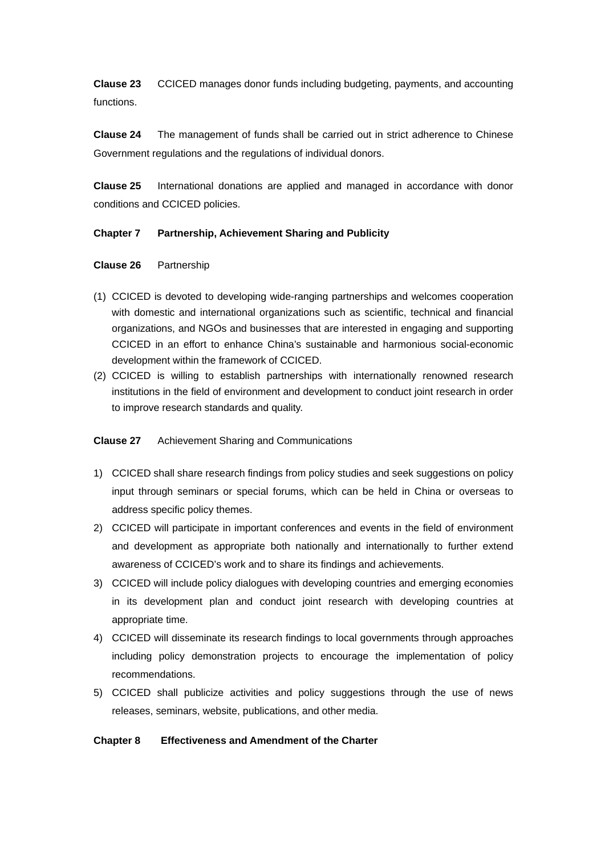**Clause 23** CCICED manages donor funds including budgeting, payments, and accounting functions.

**Clause 24** The management of funds shall be carried out in strict adherence to Chinese Government regulations and the regulations of individual donors.

**Clause 25** International donations are applied and managed in accordance with donor conditions and CCICED policies.

#### **Chapter 7 Partnership, Achievement Sharing and Publicity**

#### **Clause 26** Partnership

- (1) CCICED is devoted to developing wide-ranging partnerships and welcomes cooperation with domestic and international organizations such as scientific, technical and financial organizations, and NGOs and businesses that are interested in engaging and supporting CCICED in an effort to enhance China's sustainable and harmonious social-economic development within the framework of CCICED.
- (2) CCICED is willing to establish partnerships with internationally renowned research institutions in the field of environment and development to conduct joint research in order to improve research standards and quality.

### **Clause 27** Achievement Sharing and Communications

- 1) CCICED shall share research findings from policy studies and seek suggestions on policy input through seminars or special forums, which can be held in China or overseas to address specific policy themes.
- 2) CCICED will participate in important conferences and events in the field of environment and development as appropriate both nationally and internationally to further extend awareness of CCICED's work and to share its findings and achievements.
- 3) CCICED will include policy dialogues with developing countries and emerging economies in its development plan and conduct joint research with developing countries at appropriate time.
- 4) CCICED will disseminate its research findings to local governments through approaches including policy demonstration projects to encourage the implementation of policy recommendations.
- 5) CCICED shall publicize activities and policy suggestions through the use of news releases, seminars, website, publications, and other media.

#### **Chapter 8 Effectiveness and Amendment of the Charter**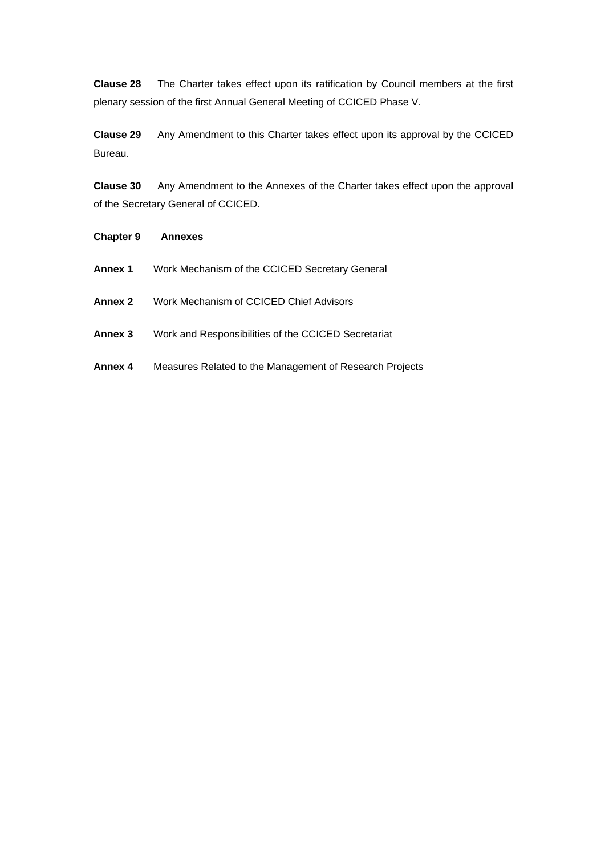**Clause 28** The Charter takes effect upon its ratification by Council members at the first plenary session of the first Annual General Meeting of CCICED Phase V.

**Clause 29** Any Amendment to this Charter takes effect upon its approval by the CCICED Bureau.

**Clause 30** Any Amendment to the Annexes of the Charter takes effect upon the approval of the Secretary General of CCICED.

| <b>Chapter 9</b> | <b>Annexes</b>                                          |
|------------------|---------------------------------------------------------|
| Annex 1          | Work Mechanism of the CCICED Secretary General          |
| Annex 2          | Work Mechanism of CCICED Chief Advisors                 |
| Annex 3          | Work and Responsibilities of the CCICED Secretariat     |
| Annex 4          | Measures Related to the Management of Research Projects |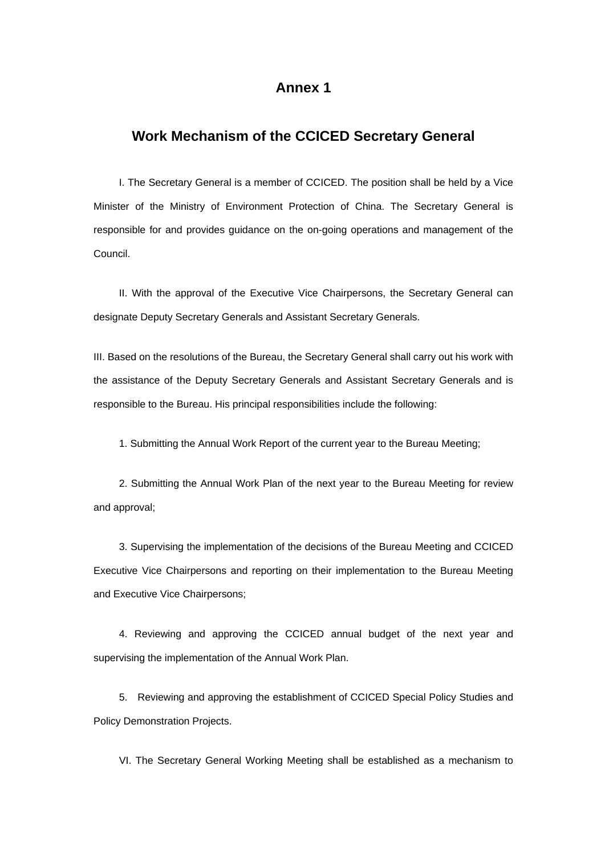# **Annex 1**

# **Work Mechanism of the CCICED Secretary General**

I. The Secretary General is a member of CCICED. The position shall be held by a Vice Minister of the Ministry of Environment Protection of China. The Secretary General is responsible for and provides guidance on the on-going operations and management of the Council.

II. With the approval of the Executive Vice Chairpersons, the Secretary General can designate Deputy Secretary Generals and Assistant Secretary Generals.

III. Based on the resolutions of the Bureau, the Secretary General shall carry out his work with the assistance of the Deputy Secretary Generals and Assistant Secretary Generals and is responsible to the Bureau. His principal responsibilities include the following:

1. Submitting the Annual Work Report of the current year to the Bureau Meeting;

2. Submitting the Annual Work Plan of the next year to the Bureau Meeting for review and approval;

3. Supervising the implementation of the decisions of the Bureau Meeting and CCICED Executive Vice Chairpersons and reporting on their implementation to the Bureau Meeting and Executive Vice Chairpersons;

4. Reviewing and approving the CCICED annual budget of the next year and supervising the implementation of the Annual Work Plan.

5. Reviewing and approving the establishment of CCICED Special Policy Studies and Policy Demonstration Projects.

VI. The Secretary General Working Meeting shall be established as a mechanism to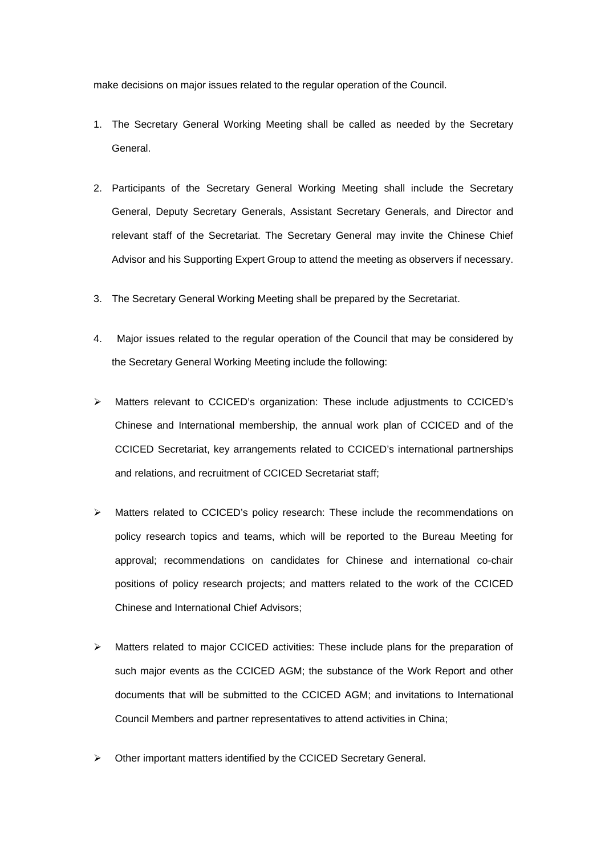make decisions on major issues related to the regular operation of the Council.

- 1. The Secretary General Working Meeting shall be called as needed by the Secretary General.
- 2. Participants of the Secretary General Working Meeting shall include the Secretary General, Deputy Secretary Generals, Assistant Secretary Generals, and Director and relevant staff of the Secretariat. The Secretary General may invite the Chinese Chief Advisor and his Supporting Expert Group to attend the meeting as observers if necessary.
- 3. The Secretary General Working Meeting shall be prepared by the Secretariat.
- 4. Major issues related to the regular operation of the Council that may be considered by the Secretary General Working Meeting include the following:
- ¾ Matters relevant to CCICED's organization: These include adjustments to CCICED's Chinese and International membership, the annual work plan of CCICED and of the CCICED Secretariat, key arrangements related to CCICED's international partnerships and relations, and recruitment of CCICED Secretariat staff;
- $\triangleright$  Matters related to CCICED's policy research: These include the recommendations on policy research topics and teams, which will be reported to the Bureau Meeting for approval; recommendations on candidates for Chinese and international co-chair positions of policy research projects; and matters related to the work of the CCICED Chinese and International Chief Advisors;
- $\triangleright$  Matters related to major CCICED activities: These include plans for the preparation of such major events as the CCICED AGM; the substance of the Work Report and other documents that will be submitted to the CCICED AGM; and invitations to International Council Members and partner representatives to attend activities in China;
- Other important matters identified by the CCICED Secretary General.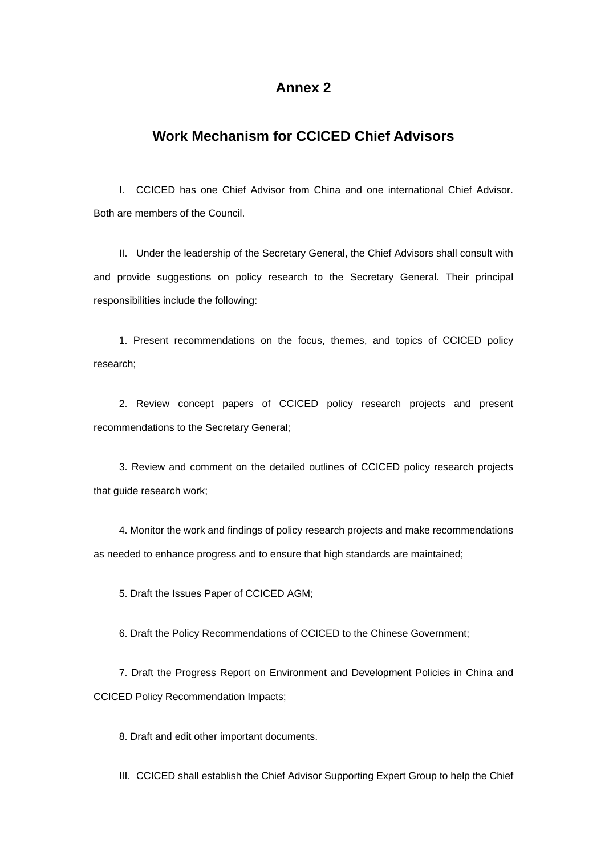# **Annex 2**

# **Work Mechanism for CCICED Chief Advisors**

I. CCICED has one Chief Advisor from China and one international Chief Advisor. Both are members of the Council.

II. Under the leadership of the Secretary General, the Chief Advisors shall consult with and provide suggestions on policy research to the Secretary General. Their principal responsibilities include the following:

1. Present recommendations on the focus, themes, and topics of CCICED policy research;

2. Review concept papers of CCICED policy research projects and present recommendations to the Secretary General;

3. Review and comment on the detailed outlines of CCICED policy research projects that guide research work;

4. Monitor the work and findings of policy research projects and make recommendations as needed to enhance progress and to ensure that high standards are maintained;

5. Draft the Issues Paper of CCICED AGM;

6. Draft the Policy Recommendations of CCICED to the Chinese Government;

7. Draft the Progress Report on Environment and Development Policies in China and CCICED Policy Recommendation Impacts;

8. Draft and edit other important documents.

III. CCICED shall establish the Chief Advisor Supporting Expert Group to help the Chief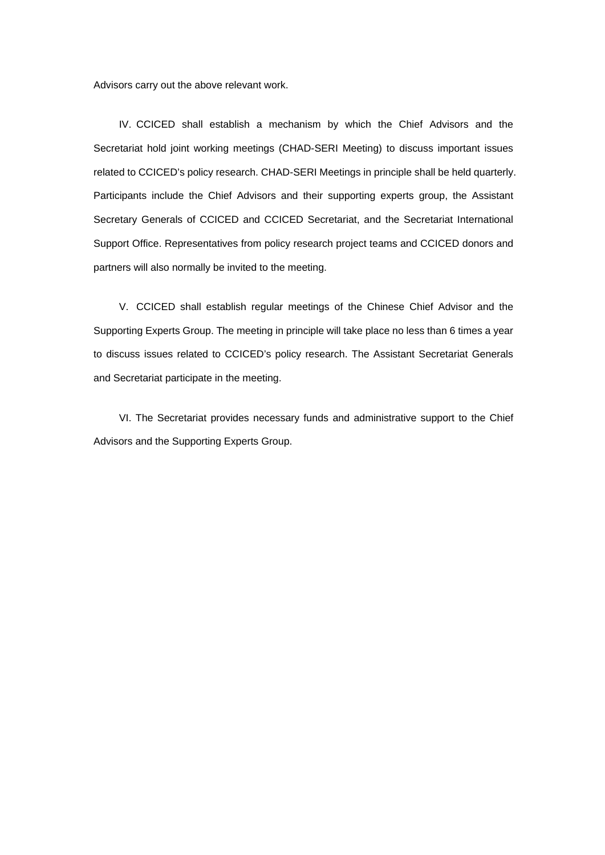Advisors carry out the above relevant work.

IV. CCICED shall establish a mechanism by which the Chief Advisors and the Secretariat hold joint working meetings (CHAD-SERI Meeting) to discuss important issues related to CCICED's policy research. CHAD-SERI Meetings in principle shall be held quarterly. Participants include the Chief Advisors and their supporting experts group, the Assistant Secretary Generals of CCICED and CCICED Secretariat, and the Secretariat International Support Office. Representatives from policy research project teams and CCICED donors and partners will also normally be invited to the meeting.

V. CCICED shall establish regular meetings of the Chinese Chief Advisor and the Supporting Experts Group. The meeting in principle will take place no less than 6 times a year to discuss issues related to CCICED's policy research. The Assistant Secretariat Generals and Secretariat participate in the meeting.

VI. The Secretariat provides necessary funds and administrative support to the Chief Advisors and the Supporting Experts Group.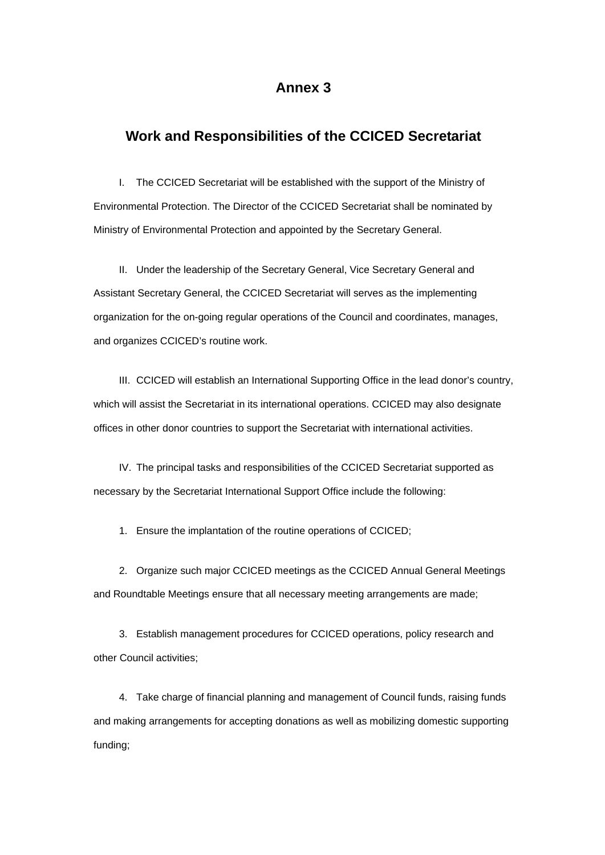# **Annex 3**

## **Work and Responsibilities of the CCICED Secretariat**

I. The CCICED Secretariat will be established with the support of the Ministry of Environmental Protection. The Director of the CCICED Secretariat shall be nominated by Ministry of Environmental Protection and appointed by the Secretary General.

II. Under the leadership of the Secretary General, Vice Secretary General and Assistant Secretary General, the CCICED Secretariat will serves as the implementing organization for the on-going regular operations of the Council and coordinates, manages, and organizes CCICED's routine work.

III. CCICED will establish an International Supporting Office in the lead donor's country, which will assist the Secretariat in its international operations. CCICED may also designate offices in other donor countries to support the Secretariat with international activities.

IV. The principal tasks and responsibilities of the CCICED Secretariat supported as necessary by the Secretariat International Support Office include the following:

1. Ensure the implantation of the routine operations of CCICED;

2. Organize such major CCICED meetings as the CCICED Annual General Meetings and Roundtable Meetings ensure that all necessary meeting arrangements are made;

3. Establish management procedures for CCICED operations, policy research and other Council activities;

4. Take charge of financial planning and management of Council funds, raising funds and making arrangements for accepting donations as well as mobilizing domestic supporting funding;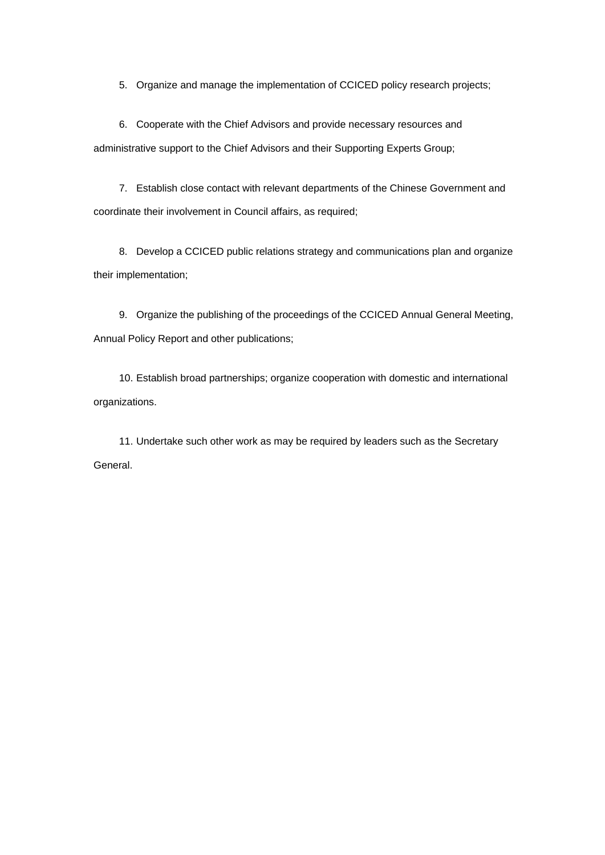5. Organize and manage the implementation of CCICED policy research projects;

6. Cooperate with the Chief Advisors and provide necessary resources and administrative support to the Chief Advisors and their Supporting Experts Group;

7. Establish close contact with relevant departments of the Chinese Government and coordinate their involvement in Council affairs, as required;

8. Develop a CCICED public relations strategy and communications plan and organize their implementation;

9. Organize the publishing of the proceedings of the CCICED Annual General Meeting, Annual Policy Report and other publications;

10. Establish broad partnerships; organize cooperation with domestic and international organizations.

11. Undertake such other work as may be required by leaders such as the Secretary General.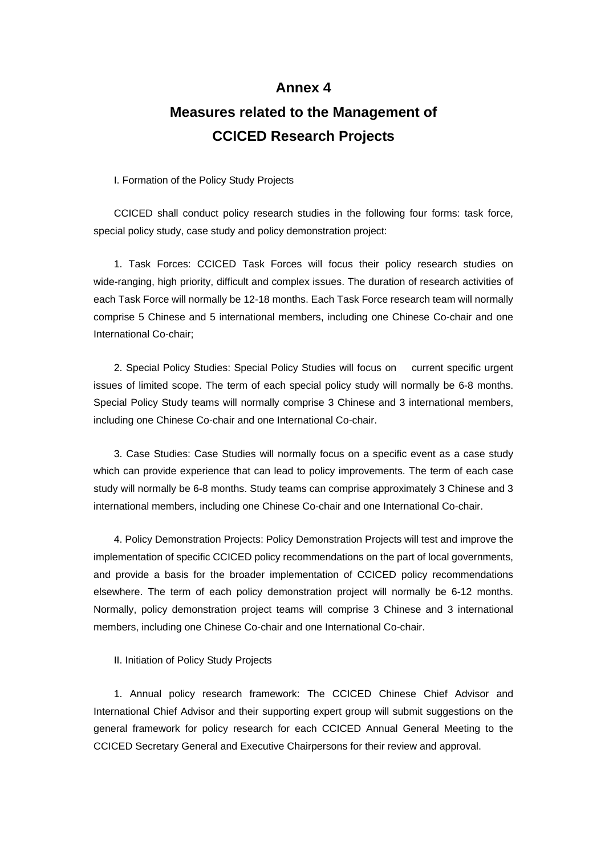# **Annex 4 Measures related to the Management of CCICED Research Projects**

I. Formation of the Policy Study Projects

CCICED shall conduct policy research studies in the following four forms: task force, special policy study, case study and policy demonstration project:

1. Task Forces: CCICED Task Forces will focus their policy research studies on wide-ranging, high priority, difficult and complex issues. The duration of research activities of each Task Force will normally be 12-18 months. Each Task Force research team will normally comprise 5 Chinese and 5 international members, including one Chinese Co-chair and one International Co-chair;

2. Special Policy Studies: Special Policy Studies will focus on current specific urgent issues of limited scope. The term of each special policy study will normally be 6-8 months. Special Policy Study teams will normally comprise 3 Chinese and 3 international members, including one Chinese Co-chair and one International Co-chair.

3. Case Studies: Case Studies will normally focus on a specific event as a case study which can provide experience that can lead to policy improvements. The term of each case study will normally be 6-8 months. Study teams can comprise approximately 3 Chinese and 3 international members, including one Chinese Co-chair and one International Co-chair.

4. Policy Demonstration Projects: Policy Demonstration Projects will test and improve the implementation of specific CCICED policy recommendations on the part of local governments, and provide a basis for the broader implementation of CCICED policy recommendations elsewhere. The term of each policy demonstration project will normally be 6-12 months. Normally, policy demonstration project teams will comprise 3 Chinese and 3 international members, including one Chinese Co-chair and one International Co-chair.

II. Initiation of Policy Study Projects

1. Annual policy research framework: The CCICED Chinese Chief Advisor and International Chief Advisor and their supporting expert group will submit suggestions on the general framework for policy research for each CCICED Annual General Meeting to the CCICED Secretary General and Executive Chairpersons for their review and approval.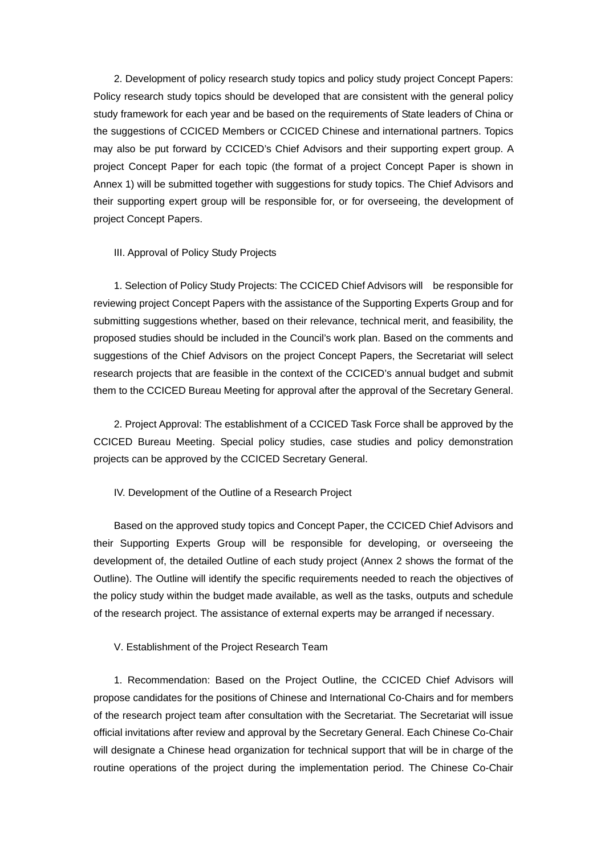2. Development of policy research study topics and policy study project Concept Papers: Policy research study topics should be developed that are consistent with the general policy study framework for each year and be based on the requirements of State leaders of China or the suggestions of CCICED Members or CCICED Chinese and international partners. Topics may also be put forward by CCICED's Chief Advisors and their supporting expert group. A project Concept Paper for each topic (the format of a project Concept Paper is shown in Annex 1) will be submitted together with suggestions for study topics. The Chief Advisors and their supporting expert group will be responsible for, or for overseeing, the development of project Concept Papers.

#### III. Approval of Policy Study Projects

1. Selection of Policy Study Projects: The CCICED Chief Advisors will be responsible for reviewing project Concept Papers with the assistance of the Supporting Experts Group and for submitting suggestions whether, based on their relevance, technical merit, and feasibility, the proposed studies should be included in the Council's work plan. Based on the comments and suggestions of the Chief Advisors on the project Concept Papers, the Secretariat will select research projects that are feasible in the context of the CCICED's annual budget and submit them to the CCICED Bureau Meeting for approval after the approval of the Secretary General.

2. Project Approval: The establishment of a CCICED Task Force shall be approved by the CCICED Bureau Meeting. Special policy studies, case studies and policy demonstration projects can be approved by the CCICED Secretary General.

#### IV. Development of the Outline of a Research Project

Based on the approved study topics and Concept Paper, the CCICED Chief Advisors and their Supporting Experts Group will be responsible for developing, or overseeing the development of, the detailed Outline of each study project (Annex 2 shows the format of the Outline). The Outline will identify the specific requirements needed to reach the objectives of the policy study within the budget made available, as well as the tasks, outputs and schedule of the research project. The assistance of external experts may be arranged if necessary.

V. Establishment of the Project Research Team

1. Recommendation: Based on the Project Outline, the CCICED Chief Advisors will propose candidates for the positions of Chinese and International Co-Chairs and for members of the research project team after consultation with the Secretariat. The Secretariat will issue official invitations after review and approval by the Secretary General. Each Chinese Co-Chair will designate a Chinese head organization for technical support that will be in charge of the routine operations of the project during the implementation period. The Chinese Co-Chair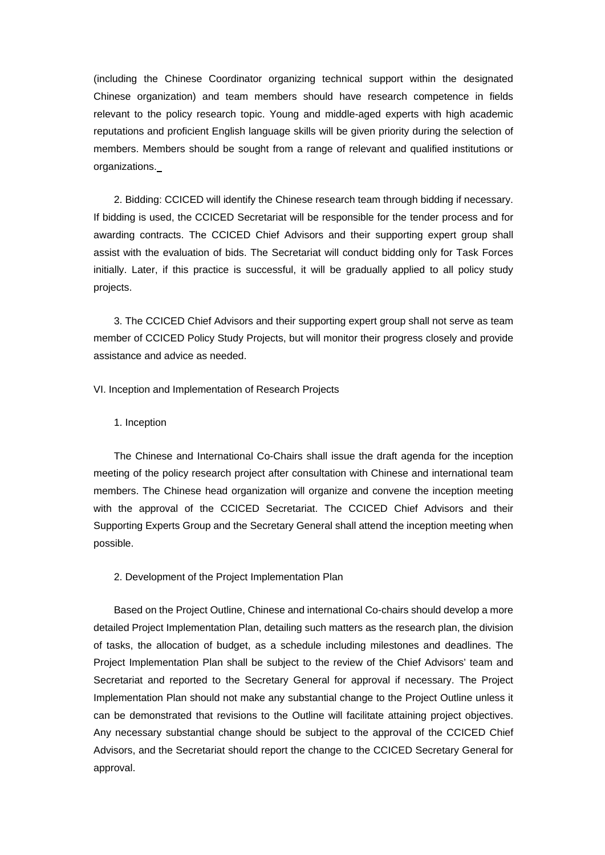(including the Chinese Coordinator organizing technical support within the designated Chinese organization) and team members should have research competence in fields relevant to the policy research topic. Young and middle-aged experts with high academic reputations and proficient English language skills will be given priority during the selection of members. Members should be sought from a range of relevant and qualified institutions or organizations.

2. Bidding: CCICED will identify the Chinese research team through bidding if necessary. If bidding is used, the CCICED Secretariat will be responsible for the tender process and for awarding contracts. The CCICED Chief Advisors and their supporting expert group shall assist with the evaluation of bids. The Secretariat will conduct bidding only for Task Forces initially. Later, if this practice is successful, it will be gradually applied to all policy study projects.

3. The CCICED Chief Advisors and their supporting expert group shall not serve as team member of CCICED Policy Study Projects, but will monitor their progress closely and provide assistance and advice as needed.

VI. Inception and Implementation of Research Projects

1. Inception

The Chinese and International Co-Chairs shall issue the draft agenda for the inception meeting of the policy research project after consultation with Chinese and international team members. The Chinese head organization will organize and convene the inception meeting with the approval of the CCICED Secretariat. The CCICED Chief Advisors and their Supporting Experts Group and the Secretary General shall attend the inception meeting when possible.

#### 2. Development of the Project Implementation Plan

Based on the Project Outline, Chinese and international Co-chairs should develop a more detailed Project Implementation Plan, detailing such matters as the research plan, the division of tasks, the allocation of budget, as a schedule including milestones and deadlines. The Project Implementation Plan shall be subject to the review of the Chief Advisors' team and Secretariat and reported to the Secretary General for approval if necessary. The Project Implementation Plan should not make any substantial change to the Project Outline unless it can be demonstrated that revisions to the Outline will facilitate attaining project objectives. Any necessary substantial change should be subject to the approval of the CCICED Chief Advisors, and the Secretariat should report the change to the CCICED Secretary General for approval.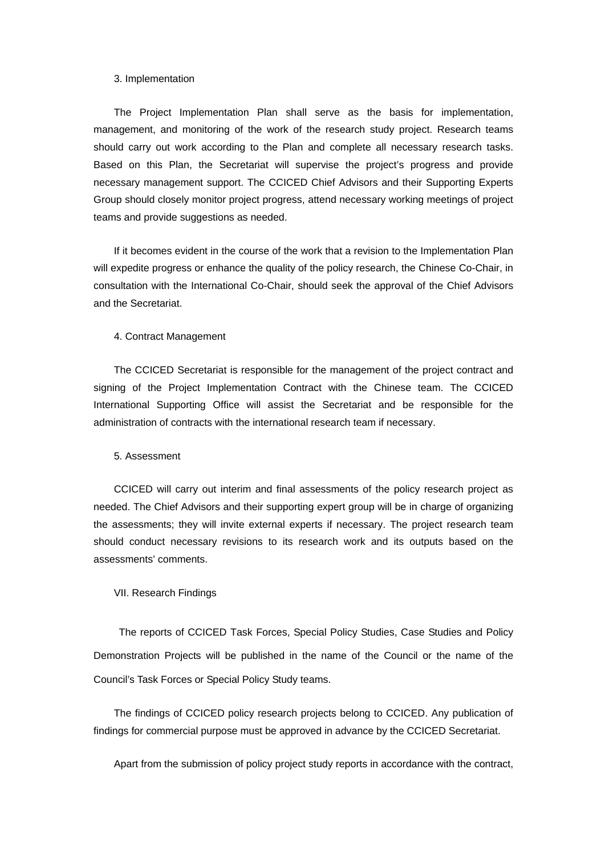#### 3. Implementation

The Project Implementation Plan shall serve as the basis for implementation, management, and monitoring of the work of the research study project. Research teams should carry out work according to the Plan and complete all necessary research tasks. Based on this Plan, the Secretariat will supervise the project's progress and provide necessary management support. The CCICED Chief Advisors and their Supporting Experts Group should closely monitor project progress, attend necessary working meetings of project teams and provide suggestions as needed.

If it becomes evident in the course of the work that a revision to the Implementation Plan will expedite progress or enhance the quality of the policy research, the Chinese Co-Chair, in consultation with the International Co-Chair, should seek the approval of the Chief Advisors and the Secretariat.

#### 4. Contract Management

The CCICED Secretariat is responsible for the management of the project contract and signing of the Project Implementation Contract with the Chinese team. The CCICED International Supporting Office will assist the Secretariat and be responsible for the administration of contracts with the international research team if necessary.

#### 5. Assessment

CCICED will carry out interim and final assessments of the policy research project as needed. The Chief Advisors and their supporting expert group will be in charge of organizing the assessments; they will invite external experts if necessary. The project research team should conduct necessary revisions to its research work and its outputs based on the assessments' comments.

#### VII. Research Findings

 The reports of CCICED Task Forces, Special Policy Studies, Case Studies and Policy Demonstration Projects will be published in the name of the Council or the name of the Council's Task Forces or Special Policy Study teams.

The findings of CCICED policy research projects belong to CCICED. Any publication of findings for commercial purpose must be approved in advance by the CCICED Secretariat.

Apart from the submission of policy project study reports in accordance with the contract,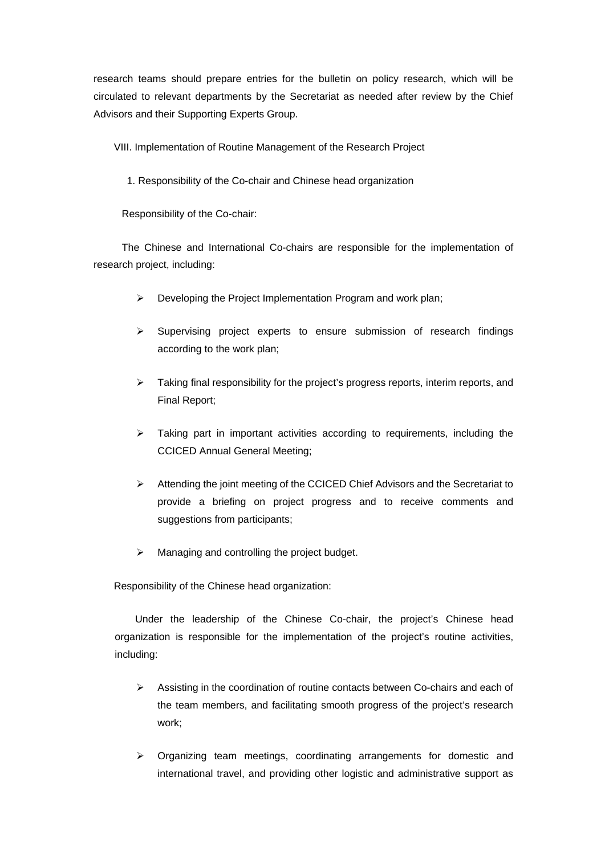research teams should prepare entries for the bulletin on policy research, which will be circulated to relevant departments by the Secretariat as needed after review by the Chief Advisors and their Supporting Experts Group.

VIII. Implementation of Routine Management of the Research Project

1. Responsibility of the Co-chair and Chinese head organization

Responsibility of the Co-chair:

The Chinese and International Co-chairs are responsible for the implementation of research project, including:

- $\triangleright$  Developing the Project Implementation Program and work plan;
- ¾ Supervising project experts to ensure submission of research findings according to the work plan;
- ¾ Taking final responsibility for the project's progress reports, interim reports, and Final Report;
- $\triangleright$  Taking part in important activities according to requirements, including the CCICED Annual General Meeting;
- $\triangleright$  Attending the joint meeting of the CCICED Chief Advisors and the Secretariat to provide a briefing on project progress and to receive comments and suggestions from participants;
- $\triangleright$  Managing and controlling the project budget.

Responsibility of the Chinese head organization:

Under the leadership of the Chinese Co-chair, the project's Chinese head organization is responsible for the implementation of the project's routine activities, including:

- ¾ Assisting in the coordination of routine contacts between Co-chairs and each of the team members, and facilitating smooth progress of the project's research work;
- ¾ Organizing team meetings, coordinating arrangements for domestic and international travel, and providing other logistic and administrative support as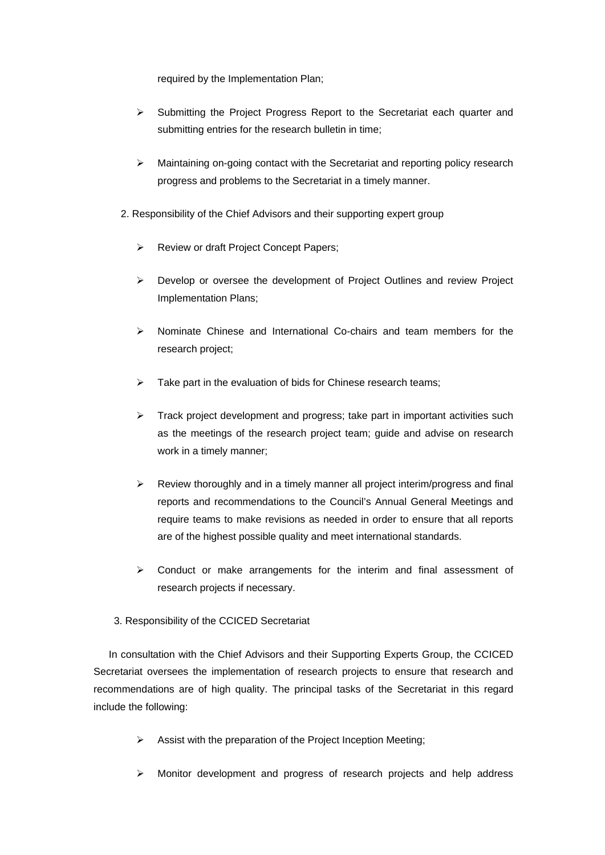required by the Implementation Plan;

- ¾ Submitting the Project Progress Report to the Secretariat each quarter and submitting entries for the research bulletin in time;
- $\triangleright$  Maintaining on-going contact with the Secretariat and reporting policy research progress and problems to the Secretariat in a timely manner.
- 2. Responsibility of the Chief Advisors and their supporting expert group
	- ¾ Review or draft Project Concept Papers;
	- $\triangleright$  Develop or oversee the development of Project Outlines and review Project Implementation Plans;
	- $\geq$  Nominate Chinese and International Co-chairs and team members for the research project;
	- $\triangleright$  Take part in the evaluation of bids for Chinese research teams;
	- ¾ Track project development and progress; take part in important activities such as the meetings of the research project team; guide and advise on research work in a timely manner;
	- $\triangleright$  Review thoroughly and in a timely manner all project interim/progress and final reports and recommendations to the Council's Annual General Meetings and require teams to make revisions as needed in order to ensure that all reports are of the highest possible quality and meet international standards.
	- $\triangleright$  Conduct or make arrangements for the interim and final assessment of research projects if necessary.
- 3. Responsibility of the CCICED Secretariat

 In consultation with the Chief Advisors and their Supporting Experts Group, the CCICED Secretariat oversees the implementation of research projects to ensure that research and recommendations are of high quality. The principal tasks of the Secretariat in this regard include the following:

- $\triangleright$  Assist with the preparation of the Project Inception Meeting;
- ¾ Monitor development and progress of research projects and help address